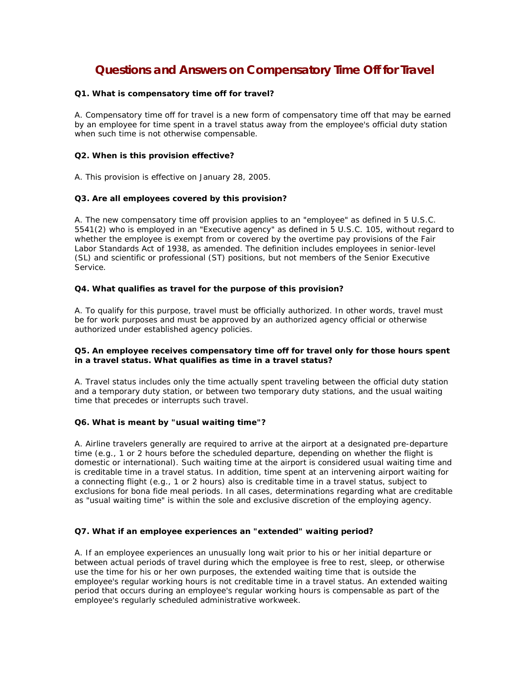# **Questions and Answers on Compensatory Time Off for Travel**

## **Q1. What is compensatory time off for travel?**

A. Compensatory time off for travel is a new form of compensatory time off that may be earned by an employee for time spent in a travel status away from the employee's official duty station when such time is not otherwise compensable.

## **Q2. When is this provision effective?**

A. This provision is effective on January 28, 2005.

## **Q3. Are all employees covered by this provision?**

A. The new compensatory time off provision applies to an "employee" as defined in 5 U.S.C. 5541(2) who is employed in an "Executive agency" as defined in 5 U.S.C. 105, without regard to whether the employee is exempt from or covered by the overtime pay provisions of the Fair Labor Standards Act of 1938, as amended. The definition includes employees in senior-level (SL) and scientific or professional (ST) positions, but not members of the Senior Executive Service.

#### **Q4. What qualifies as travel for the purpose of this provision?**

A. To qualify for this purpose, travel must be officially authorized. In other words, travel must be for work purposes and must be approved by an authorized agency official or otherwise authorized under established agency policies.

## **Q5. An employee receives compensatory time off for travel only for those hours spent in a travel status. What qualifies as time in a travel status?**

A. Travel status includes only the time actually spent traveling between the official duty station and a temporary duty station, or between two temporary duty stations, and the usual waiting time that precedes or interrupts such travel.

#### **Q6. What is meant by "usual waiting time"?**

A. Airline travelers generally are required to arrive at the airport at a designated pre-departure time (e.g., 1 or 2 hours before the scheduled departure, depending on whether the flight is domestic or international). Such waiting time at the airport is considered usual waiting time and is creditable time in a travel status. In addition, time spent at an intervening airport waiting for a connecting flight (e.g., 1 or 2 hours) also is creditable time in a travel status, subject to exclusions for bona fide meal periods. In all cases, determinations regarding what are creditable as "usual waiting time" is within the sole and exclusive discretion of the employing agency.

# **Q7. What if an employee experiences an "extended" waiting period?**

A. If an employee experiences an unusually long wait prior to his or her initial departure or between actual periods of travel during which the employee is free to rest, sleep, or otherwise use the time for his or her own purposes, the extended waiting time that is outside the employee's regular working hours is not creditable time in a travel status. An extended waiting period that occurs during an employee's regular working hours is compensable as part of the employee's regularly scheduled administrative workweek.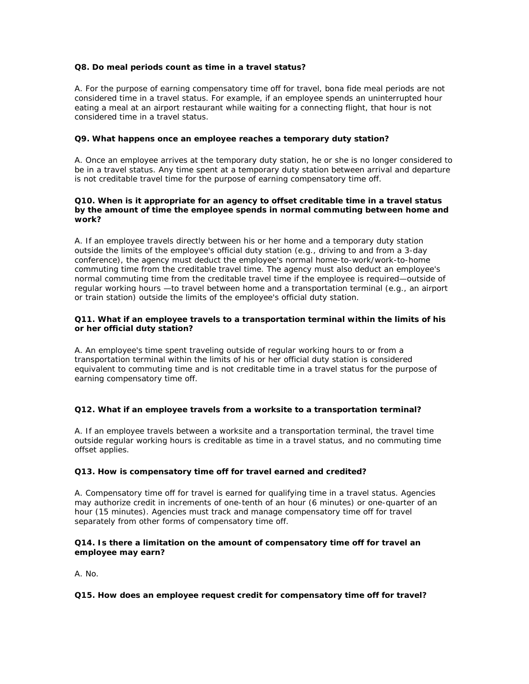## **Q8. Do meal periods count as time in a travel status?**

A. For the purpose of earning compensatory time off for travel, bona fide meal periods are not considered time in a travel status. For example, if an employee spends an uninterrupted hour eating a meal at an airport restaurant while waiting for a connecting flight, that hour is not considered time in a travel status.

## **Q9. What happens once an employee reaches a temporary duty station?**

A. Once an employee arrives at the temporary duty station, he or she is no longer considered to be in a travel status. Any time spent at a temporary duty station between arrival and departure is not creditable travel time for the purpose of earning compensatory time off.

#### **Q10. When is it appropriate for an agency to offset creditable time in a travel status by the amount of time the employee spends in normal commuting between home and work?**

A. If an employee travels directly between his or her home and a temporary duty station outside the limits of the employee's official duty station (e.g., driving to and from a 3-day conference), the agency must deduct the employee's normal home-to-work/work-to-home commuting time from the creditable travel time. The agency must also deduct an employee's normal commuting time from the creditable travel time if the employee is required—outside of regular working hours —to travel between home and a transportation terminal (e.g., an airport or train station) outside the limits of the employee's official duty station.

## **Q11. What if an employee travels to a transportation terminal within the limits of his or her official duty station?**

A. An employee's time spent traveling outside of regular working hours to or from a transportation terminal within the limits of his or her official duty station is considered equivalent to commuting time and is not creditable time in a travel status for the purpose of earning compensatory time off.

# **Q12. What if an employee travels from a worksite to a transportation terminal?**

A. If an employee travels between a worksite and a transportation terminal, the travel time outside regular working hours is creditable as time in a travel status, and no commuting time offset applies.

#### **Q13. How is compensatory time off for travel earned and credited?**

A. Compensatory time off for travel is earned for qualifying time in a travel status. Agencies may authorize credit in increments of one-tenth of an hour (6 minutes) or one-quarter of an hour (15 minutes). Agencies must track and manage compensatory time off for travel separately from other forms of compensatory time off.

#### **Q14. Is there a limitation on the amount of compensatory time off for travel an employee may earn?**

A. No.

#### **Q15. How does an employee request credit for compensatory time off for travel?**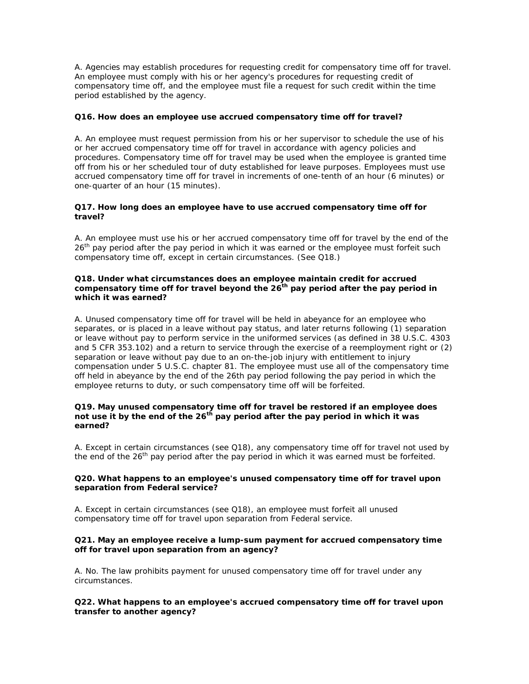A. Agencies may establish procedures for requesting credit for compensatory time off for travel. An employee must comply with his or her agency's procedures for requesting credit of compensatory time off, and the employee must file a request for such credit within the time period established by the agency.

## **Q16. How does an employee use accrued compensatory time off for travel?**

A. An employee must request permission from his or her supervisor to schedule the use of his or her accrued compensatory time off for travel in accordance with agency policies and procedures. Compensatory time off for travel may be used when the employee is granted time off from his or her scheduled tour of duty established for leave purposes. Employees must use accrued compensatory time off for travel in increments of one-tenth of an hour (6 minutes) or one-quarter of an hour (15 minutes).

## **Q17. How long does an employee have to use accrued compensatory time off for travel?**

A. An employee must use his or her accrued compensatory time off for travel by the end of the 26<sup>th</sup> pay period after the pay period in which it was earned or the employee must forfeit such compensatory time off, except in certain circumstances. (See Q18.)

## **Q18. Under what circumstances does an employee maintain credit for accrued**  compensatory time off for travel beyond the 26<sup>th</sup> pay period after the pay period in **which it was earned?**

A. Unused compensatory time off for travel will be held in abeyance for an employee who separates, or is placed in a leave without pay status, and later returns following (1) separation or leave without pay to perform service in the uniformed services (as defined in 38 U.S.C. 4303 and 5 CFR 353.102) and a return to service through the exercise of a reemployment right or (2) separation or leave without pay due to an on-the-job injury with entitlement to injury compensation under 5 U.S.C. chapter 81. The employee must use all of the compensatory time off held in abeyance by the end of the 26th pay period following the pay period in which the employee returns to duty, or such compensatory time off will be forfeited.

## **Q19. May unused compensatory time off for travel be restored if an employee does not use it by the end of the 26th pay period after the pay period in which it was earned?**

A. Except in certain circumstances (see Q18), any compensatory time off for travel not used by the end of the  $26<sup>th</sup>$  pay period after the pay period in which it was earned must be forfeited.

## **Q20. What happens to an employee's unused compensatory time off for travel upon separation from Federal service?**

A. Except in certain circumstances (see Q18), an employee must forfeit all unused compensatory time off for travel upon separation from Federal service.

## **Q21. May an employee receive a lump-sum payment for accrued compensatory time off for travel upon separation from an agency?**

A. No. The law prohibits payment for unused compensatory time off for travel under any circumstances.

**Q22. What happens to an employee's accrued compensatory time off for travel upon transfer to another agency?**